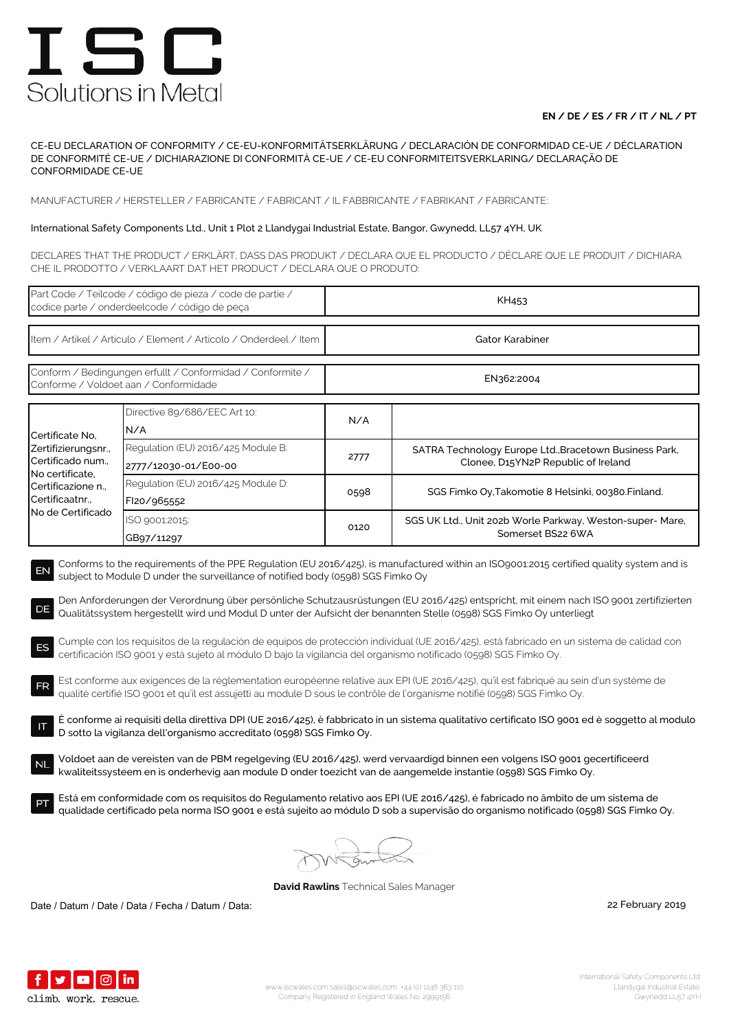### **EN / DE / ES / FR / IT / NL / PT**

CE-EU DECLARATION OF CONFORMITY / CE-EU-KONFORMITÄTSERKLÄRUNG / DECLARACIÓN DE CONFORMIDAD CE-UE / DÉCLARATION DE CONFORMITÉ CE-UE / DICHIARAZIONE DI CONFORMITÀ CE-UE / CE-EU CONFORMITEITSVERKLARING/ DECLARAÇÃO DE CONFORMIDADE CE-UE

MANUFACTURER / HERSTELLER / FABRICANTE / FABRICANT / IL FABBRICANTE / FABRIKANT / FABRICANTE:

### International Safety Components Ltd., Unit 1 Plot 2 Llandygai Industrial Estate, Bangor, Gwynedd, LL57 4YH, UK

DECLARES THAT THE PRODUCT / ERKLÄRT, DASS DAS PRODUKT / DECLARA QUE EL PRODUCTO / DÉCLARE QUE LE PRODUIT / DICHIARA CHE IL PRODOTTO / VERKLAART DAT HET PRODUCT / DECLARA QUE O PRODUTO:

| Part Code / Teilcode / código de pieza / code de partie /<br>codice parte / onderdeelcode / código de peça                                                                                                                                                                                                                                                                                                                                                                                                                                                                                                                                                                                                                                                                                                                                                                                                                                                                                                                                                                                                                                                                                                                                                                                                                                                                                                                                                                                                                                                                                                                                                                                                                                                                                                   |                                                            | KH453           |                                                                                               |  |  |
|--------------------------------------------------------------------------------------------------------------------------------------------------------------------------------------------------------------------------------------------------------------------------------------------------------------------------------------------------------------------------------------------------------------------------------------------------------------------------------------------------------------------------------------------------------------------------------------------------------------------------------------------------------------------------------------------------------------------------------------------------------------------------------------------------------------------------------------------------------------------------------------------------------------------------------------------------------------------------------------------------------------------------------------------------------------------------------------------------------------------------------------------------------------------------------------------------------------------------------------------------------------------------------------------------------------------------------------------------------------------------------------------------------------------------------------------------------------------------------------------------------------------------------------------------------------------------------------------------------------------------------------------------------------------------------------------------------------------------------------------------------------------------------------------------------------|------------------------------------------------------------|-----------------|-----------------------------------------------------------------------------------------------|--|--|
| Item / Artikel / Articulo / Element / Articolo / Onderdeel / Item                                                                                                                                                                                                                                                                                                                                                                                                                                                                                                                                                                                                                                                                                                                                                                                                                                                                                                                                                                                                                                                                                                                                                                                                                                                                                                                                                                                                                                                                                                                                                                                                                                                                                                                                            |                                                            | Gator Karabiner |                                                                                               |  |  |
| Conform / Bedingungen erfullt / Conformidad / Conformite /<br>Conforme / Voldoet aan / Conformidade                                                                                                                                                                                                                                                                                                                                                                                                                                                                                                                                                                                                                                                                                                                                                                                                                                                                                                                                                                                                                                                                                                                                                                                                                                                                                                                                                                                                                                                                                                                                                                                                                                                                                                          |                                                            | EN362:2004      |                                                                                               |  |  |
| Certificate No.<br>Zertifizierungsnr.,<br>Certificado num.,<br>No certificate,<br>Certificazione n<br>Certificaatnr.,<br>No de Certificado                                                                                                                                                                                                                                                                                                                                                                                                                                                                                                                                                                                                                                                                                                                                                                                                                                                                                                                                                                                                                                                                                                                                                                                                                                                                                                                                                                                                                                                                                                                                                                                                                                                                   | Directive 89/686/EEC Art 10:<br>N/A                        | N/A             |                                                                                               |  |  |
|                                                                                                                                                                                                                                                                                                                                                                                                                                                                                                                                                                                                                                                                                                                                                                                                                                                                                                                                                                                                                                                                                                                                                                                                                                                                                                                                                                                                                                                                                                                                                                                                                                                                                                                                                                                                              | Regulation (EU) 2016/425 Module B:<br>2777/12030-01/E00-00 | 2777            | SATRA Technology Europe Ltd., Bracetown Business Park,<br>Clonee, D15YN2P Republic of Ireland |  |  |
|                                                                                                                                                                                                                                                                                                                                                                                                                                                                                                                                                                                                                                                                                                                                                                                                                                                                                                                                                                                                                                                                                                                                                                                                                                                                                                                                                                                                                                                                                                                                                                                                                                                                                                                                                                                                              | Regulation (EU) 2016/425 Module D:<br>FI20/965552          | 0598            | SGS Fimko Oy, Takomotie 8 Helsinki, 00380. Finland.                                           |  |  |
|                                                                                                                                                                                                                                                                                                                                                                                                                                                                                                                                                                                                                                                                                                                                                                                                                                                                                                                                                                                                                                                                                                                                                                                                                                                                                                                                                                                                                                                                                                                                                                                                                                                                                                                                                                                                              | ISO 9001:2015:<br>GB97/11297                               | 0120            | SGS UK Ltd., Unit 202b Worle Parkway, Weston-super- Mare,<br>Somerset BS22 6WA                |  |  |
| Conforms to the requirements of the PPE Regulation (EU 2016/425), is manufactured within an ISO9001:2015 certified quality system and is<br>EN<br>subject to Module D under the surveillance of notified body (0598) SGS Fimko Oy<br>Den Anforderungen der Verordnung über persönliche Schutzausrüstungen (EU 2016/425) entspricht, mit einem nach ISO 9001 zertifizierten<br>DE<br>Qualitätssystem hergestellt wird und Modul D unter der Aufsicht der benannten Stelle (0598) SGS Fimko Oy unterliegt<br>Cumple con los requisitos de la regulación de equipos de protección individual (UE 2016/425), está fabricado en un sistema de calidad con<br>ES<br>certificación ISO 9001 y está sujeto al módulo D bajo la vigilancia del organismo notificado (0598) SGS Fimko Oy.<br>Est conforme aux exigences de la réglementation européenne relative aux EPI (UE 2016/425), qu'il est fabriqué au sein d'un système de<br>FR<br>qualité certifié ISO 9001 et qu'il est assujetti au module D sous le contrôle de l'organisme notifié (0598) SGS Fimko Oy.<br>È conforme ai requisiti della direttiva DPI (UE 2016/425), è fabbricato in un sistema qualitativo certificato ISO 9001 ed è soggetto al modulo<br>D sotto la vigilanza dell'organismo accreditato (0598) SGS Fimko Oy.<br>Voldoet aan de vereisten van de PBM regelgeving (EU 2016/425), werd vervaardigd binnen een volgens ISO 9001 gecertificeerd<br>kwaliteitssysteem en is onderhevig aan module D onder toezicht van de aangemelde instantie (0598) SGS Fimko Oy.<br>Está em conformidade com os requisitos do Regulamento relativo aos EPI (UE 2016/425), é fabricado no âmbito de um sistema de<br>qualidade certificado pela norma ISO 9001 e está sujeito ao módulo D sob a supervisão do organismo notificado (0598) SGS Fimko Oy. |                                                            |                 |                                                                                               |  |  |
|                                                                                                                                                                                                                                                                                                                                                                                                                                                                                                                                                                                                                                                                                                                                                                                                                                                                                                                                                                                                                                                                                                                                                                                                                                                                                                                                                                                                                                                                                                                                                                                                                                                                                                                                                                                                              |                                                            |                 |                                                                                               |  |  |

**David Rawlins** Technical Sales Manager

Date / Datum / Date / Data / Fecha / Datum / Data: 2019

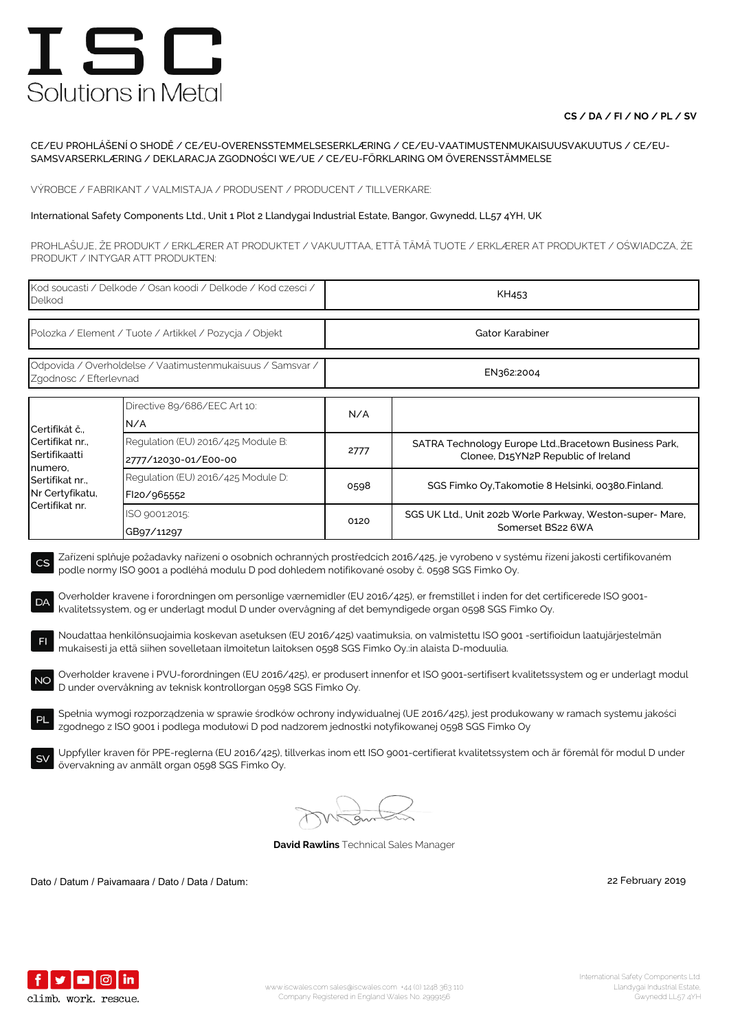### **CS / DA / FI / NO / PL / SV**

#### CE/EU PROHLÁŠENÍ O SHODĚ / CE/EU-OVERENSSTEMMELSESERKLÆRING / CE/EU-VAATIMUSTENMUKAISUUSVAKUUTUS / CE/EU-SAMSVARSERKLÆRING / DEKLARACJA ZGODNOŚCI WE/UE / CE/EU-FÖRKLARING OM ÖVERENSSTÄMMELSE

VÝROBCE / FABRIKANT / VALMISTAJA / PRODUSENT / PRODUCENT / TILLVERKARE:

#### International Safety Components Ltd., Unit 1 Plot 2 Llandygai Industrial Estate, Bangor, Gwynedd, LL57 4YH, UK

PROHLAŠUJE, ŽE PRODUKT / ERKLÆRER AT PRODUKTET / VAKUUTTAA, ETTÄ TÄMÄ TUOTE / ERKLÆRER AT PRODUKTET / OŚWIADCZA, ŻE PRODUKT / INTYGAR ATT PRODUKTEN:

| Kod soucasti / Delkode / Osan koodi / Delkode / Kod czesci /<br>Delkod                                                                                                                                                                                                                                                                                                                                                                                                                           |                                                            | KH453           |                                                                                               |  |  |
|--------------------------------------------------------------------------------------------------------------------------------------------------------------------------------------------------------------------------------------------------------------------------------------------------------------------------------------------------------------------------------------------------------------------------------------------------------------------------------------------------|------------------------------------------------------------|-----------------|-----------------------------------------------------------------------------------------------|--|--|
| Polozka / Element / Tuote / Artikkel / Pozycja / Objekt                                                                                                                                                                                                                                                                                                                                                                                                                                          |                                                            | Gator Karabiner |                                                                                               |  |  |
| Odpovida / Overholdelse / Vaatimustenmukaisuus / Samsvar /<br>Zgodnosc / Efterlevnad                                                                                                                                                                                                                                                                                                                                                                                                             |                                                            | EN362:2004      |                                                                                               |  |  |
| Certifikát č.,<br>Certifikat nr.,<br>Sertifikaatti<br>numero,<br>Sertifikat nr.,<br>Nr Certyfikatu,<br>Certifikat nr.                                                                                                                                                                                                                                                                                                                                                                            | Directive 89/686/EEC Art 10:<br>N/A                        | N/A             |                                                                                               |  |  |
|                                                                                                                                                                                                                                                                                                                                                                                                                                                                                                  | Regulation (EU) 2016/425 Module B:<br>2777/12030-01/E00-00 | 2777            | SATRA Technology Europe Ltd., Bracetown Business Park,<br>Clonee, D15YN2P Republic of Ireland |  |  |
|                                                                                                                                                                                                                                                                                                                                                                                                                                                                                                  | Regulation (EU) 2016/425 Module D:<br>FI20/965552          | 0598            | SGS Fimko Oy, Takomotie 8 Helsinki, 00380. Finland.                                           |  |  |
|                                                                                                                                                                                                                                                                                                                                                                                                                                                                                                  | ISO 9001:2015:<br>GB97/11297                               | 0120            | SGS UK Ltd., Unit 202b Worle Parkway, Weston-super- Mare,<br>Somerset BS22 6WA                |  |  |
| Zařízení splňuje požadavky nařízení o osobních ochranných prostředcích 2016/425, je vyrobeno v systému řízení jakosti certifikovaném<br>CS<br>podle normy ISO 9001 a podléhá modulu D pod dohledem notifikované osoby č. 0598 SGS Fimko Oy.<br>Overholder kravene i forordningen om personlige værnemidler (EU 2016/425), er fremstillet i inden for det certificerede ISO 9001-<br>DA<br>kvalitetssystem, og er underlagt modul D under overvågning af det bemyndigede organ 0598 SGS Fimko Oy. |                                                            |                 |                                                                                               |  |  |
| Noudattaa henkilönsuojaimia koskevan asetuksen (EU 2016/425) vaatimuksia, on valmistettu ISO 9001 -sertifioidun laatujärjestelmän<br>F <sub>1</sub><br>mukaisesti ja että siihen sovelletaan ilmoitetun laitoksen 0598 SGS Fimko Oy.:in alaista D-moduulia.                                                                                                                                                                                                                                      |                                                            |                 |                                                                                               |  |  |
| Overholder kravene i PVU-forordningen (EU 2016/425), er produsert innenfor et ISO 9001-sertifisert kvalitetssystem og er underlagt modul<br><b>NO</b><br>D under overvåkning av teknisk kontrollorgan 0598 SGS Fimko Oy.                                                                                                                                                                                                                                                                         |                                                            |                 |                                                                                               |  |  |
| Spełnia wymogi rozporządzenia w sprawie środków ochrony indywidualnej (UE 2016/425), jest produkowany w ramach systemu jakości<br>PL<br>zgodnego z ISO 9001 i podlega modułowi D pod nadzorem jednostki notyfikowanej 0598 SGS Fimko Oy                                                                                                                                                                                                                                                          |                                                            |                 |                                                                                               |  |  |
| Uppfyller kraven för PPE-reglerna (EU 2016/425), tillverkas inom ett ISO 9001-certifierat kvalitetssystem och är föremål för modul D under<br><b>SV</b><br>övervakning av anmält organ 0598 SGS Fimko Oy.                                                                                                                                                                                                                                                                                        |                                                            |                 |                                                                                               |  |  |

**David Rawlins** Technical Sales Manager

Dato / Datum / Paivamaara / Dato / Data / Datum: 22 February 2019

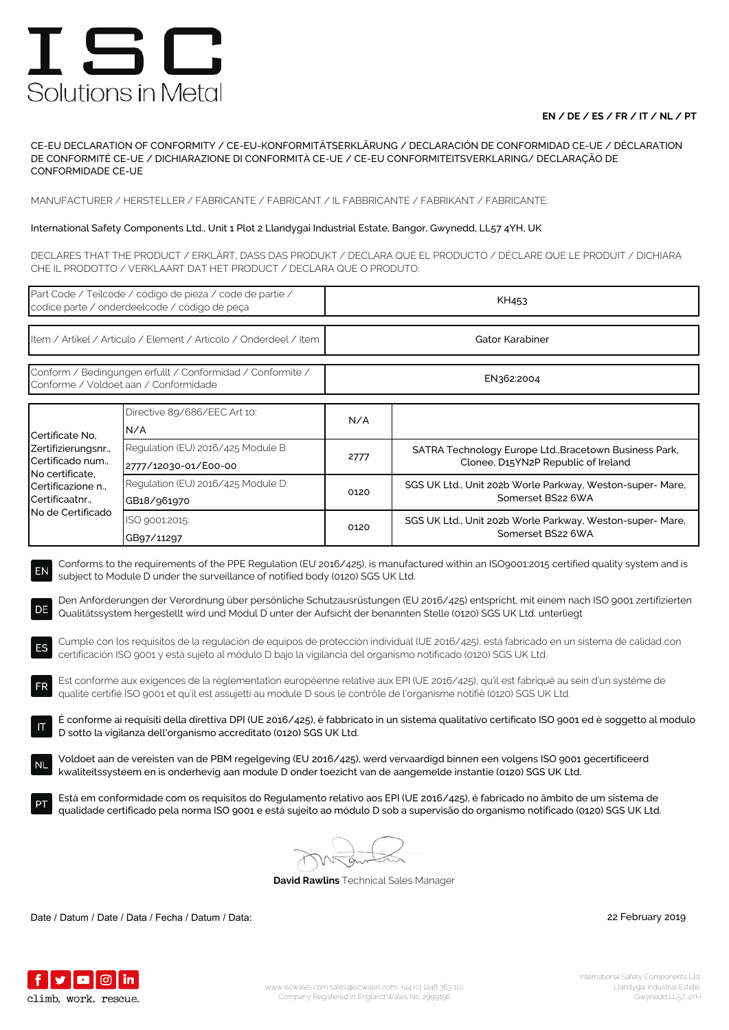### **EN / DE / ES / FR / IT / NL / PT**

CE-EU DECLARATION OF CONFORMITY / CE-EU-KONFORMITÄTSERKLÄRUNG / DECLARACIÓN DE CONFORMIDAD CE-UE / DÉCLARATION DE CONFORMITÉ CE-UE / DICHIARAZIONE DI CONFORMITÀ CE-UE / CE-EU CONFORMITEITSVERKLARING/ DECLARAÇÃO DE CONFORMIDADE CE-UE

MANUFACTURER / HERSTELLER / FABRICANTE / FABRICANT / IL FABBRICANTE / FABRIKANT / FABRICANTE:

### International Safety Components Ltd., Unit 1 Plot 2 Llandygai Industrial Estate, Bangor, Gwynedd, LL57 4YH, UK

DECLARES THAT THE PRODUCT / ERKLÄRT, DASS DAS PRODUKT / DECLARA QUE EL PRODUCTO / DÉCLARE QUE LE PRODUIT / DICHIARA CHE IL PRODOTTO / VERKLAART DAT HET PRODUCT / DECLARA QUE O PRODUTO:

| Part Code / Teilcode / código de pieza / code de partie /<br>codice parte / onderdeelcode / código de peça                                                                                                                                                                                                                                                                                                                                                                                                                                                                                                                                                                                                                                                                                                                                                                                                                                                                 |                                                            | KH453           |                                                                                               |  |  |
|----------------------------------------------------------------------------------------------------------------------------------------------------------------------------------------------------------------------------------------------------------------------------------------------------------------------------------------------------------------------------------------------------------------------------------------------------------------------------------------------------------------------------------------------------------------------------------------------------------------------------------------------------------------------------------------------------------------------------------------------------------------------------------------------------------------------------------------------------------------------------------------------------------------------------------------------------------------------------|------------------------------------------------------------|-----------------|-----------------------------------------------------------------------------------------------|--|--|
| Item / Artikel / Articulo / Element / Articolo / Onderdeel / Item                                                                                                                                                                                                                                                                                                                                                                                                                                                                                                                                                                                                                                                                                                                                                                                                                                                                                                          |                                                            | Gator Karabiner |                                                                                               |  |  |
| Conform / Bedingungen erfullt / Conformidad / Conformite /<br>Conforme / Voldoet aan / Conformidade                                                                                                                                                                                                                                                                                                                                                                                                                                                                                                                                                                                                                                                                                                                                                                                                                                                                        |                                                            | EN362:2004      |                                                                                               |  |  |
| Certificate No,<br>Zertifizierungsnr.,<br>Certificado num.,<br>No certificate,<br>Certificazione n.,<br>Certificaatnr<br>No de Certificado                                                                                                                                                                                                                                                                                                                                                                                                                                                                                                                                                                                                                                                                                                                                                                                                                                 | Directive 89/686/EEC Art 10:<br>N/A                        | N/A             |                                                                                               |  |  |
|                                                                                                                                                                                                                                                                                                                                                                                                                                                                                                                                                                                                                                                                                                                                                                                                                                                                                                                                                                            | Regulation (EU) 2016/425 Module B:<br>2777/12030-01/E00-00 | 2777            | SATRA Technology Europe Ltd., Bracetown Business Park,<br>Clonee, D15YN2P Republic of Ireland |  |  |
|                                                                                                                                                                                                                                                                                                                                                                                                                                                                                                                                                                                                                                                                                                                                                                                                                                                                                                                                                                            | Regulation (EU) 2016/425 Module D:<br>GB18/961970          | 0120            | SGS UK Ltd., Unit 202b Worle Parkway, Weston-super- Mare,<br>Somerset BS22 6WA                |  |  |
|                                                                                                                                                                                                                                                                                                                                                                                                                                                                                                                                                                                                                                                                                                                                                                                                                                                                                                                                                                            | ISO 9001:2015:<br>GB97/11297                               | 0120            | SGS UK Ltd., Unit 202b Worle Parkway, Weston-super- Mare,<br>Somerset BS22 6WA                |  |  |
| Den Anforderungen der Verordnung über persönliche Schutzausrüstungen (EU 2016/425) entspricht, mit einem nach ISO 9001 zertifizierten<br>DE<br>Qualitätssystem hergestellt wird und Modul D unter der Aufsicht der benannten Stelle (0120) SGS UK Ltd. unterliegt<br>Cumple con los requisitos de la regulación de equipos de protección individual (UE 2016/425), está fabricado en un sistema de calidad con<br>ES<br>certificación ISO 9001 y está sujeto al módulo D bajo la vigilancia del organismo notificado (0120) SGS UK Ltd.<br>Est conforme aux exigences de la réglementation européenne relative aux EPI (UE 2016/425), qu'il est fabriqué au sein d'un système de<br><b>FR</b><br>qualité certifié ISO 9001 et qu'il est assujetti au module D sous le contrôle de l'organisme notifié (0120) SGS UK Ltd.<br>È conforme ai requisiti della direttiva DPI (UE 2016/425), è fabbricato in un sistema qualitativo certificato ISO 9001 ed è soggetto al modulo |                                                            |                 |                                                                                               |  |  |
| D sotto la vigilanza dell'organismo accreditato (0120) SGS UK Ltd.<br>Voldoet aan de vereisten van de PBM regelgeving (EU 2016/425), werd vervaardigd binnen een volgens ISO 9001 gecertificeerd<br><b>NL</b><br>kwaliteitssysteem en is onderhevig aan module D onder toezicht van de aangemelde instantie (0120) SGS UK Ltd.<br>Está em conformidade com os requisitos do Regulamento relativo aos EPI (UE 2016/425), é fabricado no âmbito de um sistema de                                                                                                                                                                                                                                                                                                                                                                                                                                                                                                             |                                                            |                 |                                                                                               |  |  |
| qualidade certificado pela norma ISO 9001 e está sujeito ao módulo D sob a supervisão do organismo notificado (0120) SGS UK Ltd.<br><b>David Rawlins</b> Technical Sales Manager                                                                                                                                                                                                                                                                                                                                                                                                                                                                                                                                                                                                                                                                                                                                                                                           |                                                            |                 |                                                                                               |  |  |

Date / Datum / Date / Data / Fecha / Datum / Data: 22 February 2019